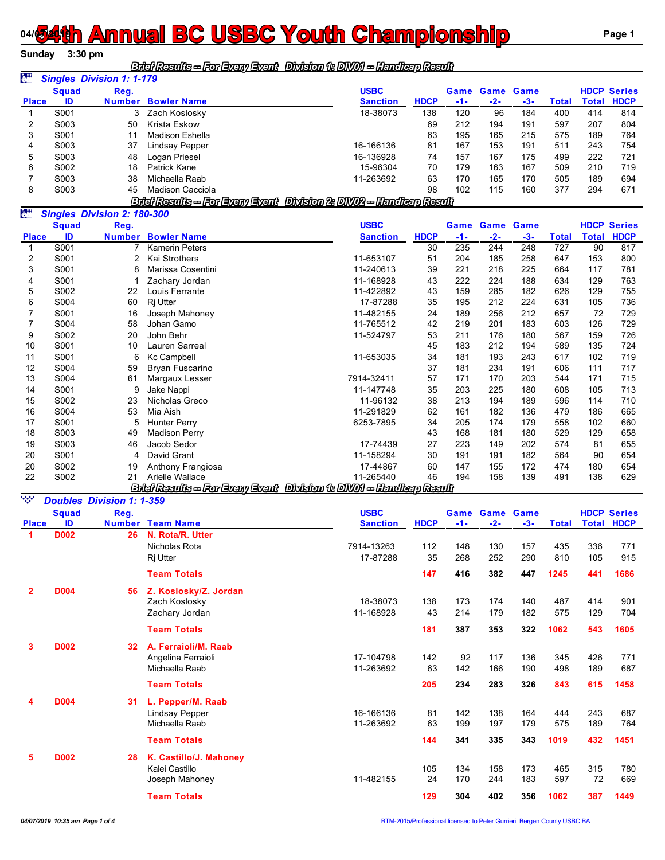## **04/54th Annual BC USBC Youth Championship Rage 1** Page 1

**Sunday 3:30 pm**

## *Brief Results -- For Every Event Division 1: DIV01 -- Handicap Result*

| àü           |              | <b>Singles Division 1: 1-179</b> |                    |                 |             |     |       |                       |       |       |                    |
|--------------|--------------|----------------------------------|--------------------|-----------------|-------------|-----|-------|-----------------------|-------|-------|--------------------|
|              | <b>Squad</b> | Reg.                             |                    | <b>USBC</b>     |             |     |       | <b>Game Game Game</b> |       |       | <b>HDCP Series</b> |
| <b>Place</b> | ID           | <b>Number</b>                    | <b>Bowler Name</b> | <b>Sanction</b> | <b>HDCP</b> | -1- | $-2-$ | $-3-$                 | Total | Total | <b>HDCP</b>        |
|              | S001         |                                  | Zach Koslosky      | 18-38073        | 138         | 120 | 96    | 184                   | 400   | 414   | 814                |
|              | S003         | 50                               | Krista Eskow       |                 | 69          | 212 | 194   | 191                   | 597   | 207   | 804                |
| 3            | S001         | 11                               | Madison Eshella    |                 | 63          | 195 | 165   | 215                   | 575   | 189   | 764                |
| 4            | S003         | 37                               | Lindsay Pepper     | 16-166136       | 81          | 167 | 153   | 191                   | 511   | 243   | 754                |
| 5            | S003         | 48                               | Logan Priesel      | 16-136928       | 74          | 157 | 167   | 175                   | 499   | 222   | 721                |
| 6            | S002         | 18                               | Patrick Kane       | 15-96304        | 70          | 179 | 163   | 167                   | 509   | 210   | 719                |
|              | S003         | 38                               | Michaella Raab     | 11-263692       | 63          | 170 | 165   | 170                   | 505   | 189   | 694                |
| 8            | S003         | 45                               | Madison Cacciola   |                 | 98          | 102 | 115   | 160                   | 377   | 294   | 671                |

*Brief Results -- For Every Event Division 2: DIV02 -- Handicap Result*

| òü           |              | <b>Singles Division 2: 180-300</b> |                                 |                                     |             |       |                       |       |       |       |                    |
|--------------|--------------|------------------------------------|---------------------------------|-------------------------------------|-------------|-------|-----------------------|-------|-------|-------|--------------------|
|              | <b>Squad</b> | Reg.                               |                                 | <b>USBC</b>                         |             |       | <b>Game Game Game</b> |       |       |       | <b>HDCP Series</b> |
| <b>Place</b> | ID           | <b>Number</b>                      | <b>Bowler Name</b>              | <b>Sanction</b>                     | <b>HDCP</b> | $-1-$ | $-2-$                 | $-3-$ | Total | Total | <b>HDCP</b>        |
|              | S001         |                                    | <b>Kamerin Peters</b>           |                                     | 30          | 235   | 244                   | 248   | 727   | 90    | 817                |
| 2            | S001         | 2                                  | Kai Strothers                   | 11-653107                           | 51          | 204   | 185                   | 258   | 647   | 153   | 800                |
| 3            | S001         | 8                                  | Marissa Cosentini               | 11-240613                           | 39          | 221   | 218                   | 225   | 664   | 117   | 781                |
| 4            | S001         |                                    | Zachary Jordan                  | 11-168928                           | 43          | 222   | 224                   | 188   | 634   | 129   | 763                |
| 5            | S002         | 22                                 | Louis Ferrante                  | 11-422892                           | 43          | 159   | 285                   | 182   | 626   | 129   | 755                |
| 6            | S004         | 60                                 | Rj Utter                        | 17-87288                            | 35          | 195   | 212                   | 224   | 631   | 105   | 736                |
|              | S001         | 16                                 | Joseph Mahoney                  | 11-482155                           | 24          | 189   | 256                   | 212   | 657   | 72    | 729                |
|              | S004         | 58                                 | Johan Gamo                      | 11-765512                           | 42          | 219   | 201                   | 183   | 603   | 126   | 729                |
| 9            | S002         | 20                                 | John Behr                       | 11-524797                           | 53          | 211   | 176                   | 180   | 567   | 159   | 726                |
| 10           | S001         | 10                                 | Lauren Sarreal                  |                                     | 45          | 183   | 212                   | 194   | 589   | 135   | 724                |
| 11           | S001         | 6                                  | Kc Campbell                     | 11-653035                           | 34          | 181   | 193                   | 243   | 617   | 102   | 719                |
| 12           | S004         | 59                                 | Bryan Fuscarino                 |                                     | 37          | 181   | 234                   | 191   | 606   | 111   | 717                |
| 13           | S004         | 61                                 | Margaux Lesser                  | 7914-32411                          | 57          | 171   | 170                   | 203   | 544   | 171   | 715                |
| 14           | S001         | 9                                  | Jake Nappi                      | 11-147748                           | 35          | 203   | 225                   | 180   | 608   | 105   | 713                |
| 15           | S002         | 23                                 | Nicholas Greco                  | 11-96132                            | 38          | 213   | 194                   | 189   | 596   | 114   | 710                |
| 16           | S004         | 53                                 | Mia Aish                        | 11-291829                           | 62          | 161   | 182                   | 136   | 479   | 186   | 665                |
| 17           | S001         | 5                                  | <b>Hunter Perry</b>             | 6253-7895                           | 34          | 205   | 174                   | 179   | 558   | 102   | 660                |
| 18           | S003         | 49                                 | <b>Madison Perry</b>            |                                     | 43          | 168   | 181                   | 180   | 529   | 129   | 658                |
| 19           | S003         | 46                                 | Jacob Sedor                     | 17-74439                            | 27          | 223   | 149                   | 202   | 574   | 81    | 655                |
| 20           | S001         | 4                                  | David Grant                     | 11-158294                           | 30          | 191   | 191                   | 182   | 564   | 90    | 654                |
| 20           | S002         | 19                                 | Anthony Frangiosa               | 17-44867                            | 60          | 147   | 155                   | 172   | 474   | 180   | 654                |
| 22           | S002         | 21                                 | Arielle Wallace                 | 11-265440                           | 46          | 194   | 158                   | 139   | 491   | 138   | 629                |
|              |              |                                    | Bilaî Results — For Eveny Event | Division 1: DIVO1 - Handleap Result |             |       |                       |       |       |       |                    |

| NGC 1        |              | <b>Doubles Division 1: 1-359</b> |                         |                 |             |       |                  |       |       |     |                    |
|--------------|--------------|----------------------------------|-------------------------|-----------------|-------------|-------|------------------|-------|-------|-----|--------------------|
|              | <b>Squad</b> | Reg.                             |                         | <b>USBC</b>     |             | Game  | <b>Game Game</b> |       |       |     | <b>HDCP Series</b> |
| <b>Place</b> | ID           |                                  | <b>Number Team Name</b> | <b>Sanction</b> | <b>HDCP</b> | $-1-$ | $-2-$            | $-3-$ | Total |     | <b>Total HDCP</b>  |
| 1            | <b>D002</b>  | 26                               | N. Rota/R. Utter        |                 |             |       |                  |       |       |     |                    |
|              |              |                                  | Nicholas Rota           | 7914-13263      | 112         | 148   | 130              | 157   | 435   | 336 | 771                |
|              |              |                                  | Ri Utter                | 17-87288        | 35          | 268   | 252              | 290   | 810   | 105 | 915                |
|              |              |                                  | <b>Team Totals</b>      |                 | 147         | 416   | 382              | 447   | 1245  | 441 | 1686               |
| 2            | <b>D004</b>  | 56                               | Z. Koslosky/Z. Jordan   |                 |             |       |                  |       |       |     |                    |
|              |              |                                  | Zach Koslosky           | 18-38073        | 138         | 173   | 174              | 140   | 487   | 414 | 901                |
|              |              |                                  | Zachary Jordan          | 11-168928       | 43          | 214   | 179              | 182   | 575   | 129 | 704                |
|              |              |                                  | <b>Team Totals</b>      |                 | 181         | 387   | 353              | 322   | 1062  | 543 | 1605               |
| 3            | <b>D002</b>  | 32 <sup>2</sup>                  | A. Ferraioli/M. Raab    |                 |             |       |                  |       |       |     |                    |
|              |              |                                  | Angelina Ferraioli      | 17-104798       | 142         | 92    | 117              | 136   | 345   | 426 | 771                |
|              |              |                                  | Michaella Raab          | 11-263692       | 63          | 142   | 166              | 190   | 498   | 189 | 687                |
|              |              |                                  | <b>Team Totals</b>      |                 | 205         | 234   | 283              | 326   | 843   | 615 | 1458               |
| 4            | <b>D004</b>  | 31                               | L. Pepper/M. Raab       |                 |             |       |                  |       |       |     |                    |
|              |              |                                  | <b>Lindsay Pepper</b>   | 16-166136       | 81          | 142   | 138              | 164   | 444   | 243 | 687                |
|              |              |                                  | Michaella Raab          | 11-263692       | 63          | 199   | 197              | 179   | 575   | 189 | 764                |
|              |              |                                  | <b>Team Totals</b>      |                 | 144         | 341   | 335              | 343   | 1019  | 432 | 1451               |
| 5            | <b>D002</b>  | 28                               | K. Castillo/J. Mahoney  |                 |             |       |                  |       |       |     |                    |
|              |              |                                  | Kalei Castillo          |                 | 105         | 134   | 158              | 173   | 465   | 315 | 780                |
|              |              |                                  | Joseph Mahoney          | 11-482155       | 24          | 170   | 244              | 183   | 597   | 72  | 669                |
|              |              |                                  | <b>Team Totals</b>      |                 | 129         | 304   | 402              | 356   | 1062  | 387 | 1449               |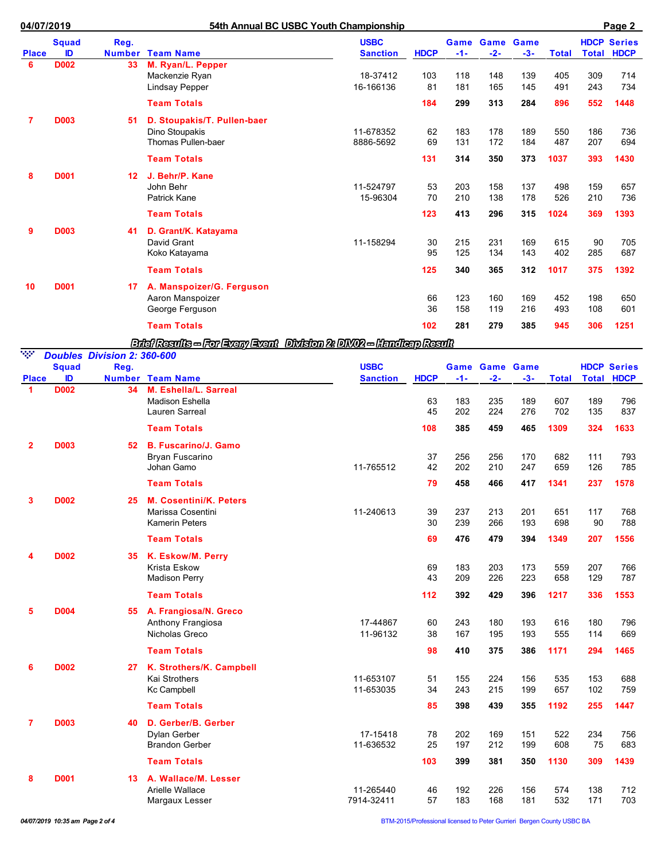| 04/07/2019     |              |                                            | 54th Annual BC USBC Youth Championship<br>Page 2                            |                                |             |            |                              |            |              |              |                                   |  |
|----------------|--------------|--------------------------------------------|-----------------------------------------------------------------------------|--------------------------------|-------------|------------|------------------------------|------------|--------------|--------------|-----------------------------------|--|
| <b>Place</b>   | Squad<br>ID  | Reg.                                       | <b>Number Team Name</b>                                                     | <b>USBC</b><br><b>Sanction</b> | <b>HDCP</b> | -1-        | <b>Game Game Game</b><br>-2- | $-3-$      | <b>Total</b> | <b>Total</b> | <b>HDCP Series</b><br><b>HDCP</b> |  |
| 6              | <b>D002</b>  | 33                                         | M. Ryan/L. Pepper<br>Mackenzie Ryan<br><b>Lindsay Pepper</b>                | 18-37412<br>16-166136          | 103<br>81   | 118<br>181 | 148<br>165                   | 139<br>145 | 405<br>491   | 309<br>243   | 714<br>734                        |  |
|                |              |                                            | <b>Team Totals</b>                                                          |                                | 184         | 299        | 313                          | 284        | 896          | 552          | 1448                              |  |
| 7              | <b>D003</b>  | 51                                         | D. Stoupakis/T. Pullen-baer<br>Dino Stoupakis<br>Thomas Pullen-baer         | 11-678352<br>8886-5692         | 62<br>69    | 183<br>131 | 178<br>172                   | 189<br>184 | 550<br>487   | 186<br>207   | 736<br>694                        |  |
|                |              |                                            | <b>Team Totals</b>                                                          |                                | 131         | 314        | 350                          | 373        | 1037         | 393          | 1430                              |  |
| 8              | <b>D001</b>  | 12                                         | J. Behr/P. Kane<br>John Behr<br>Patrick Kane                                | 11-524797<br>15-96304          | 53<br>70    | 203<br>210 | 158<br>138                   | 137<br>178 | 498<br>526   | 159<br>210   | 657<br>736                        |  |
|                |              |                                            | <b>Team Totals</b>                                                          |                                | 123         | 413        | 296                          | 315        | 1024         | 369          | 1393                              |  |
| 9              | <b>D003</b>  | 41                                         | D. Grant/K. Katayama<br>David Grant<br>Koko Katayama                        | 11-158294                      | 30<br>95    | 215<br>125 | 231<br>134                   | 169<br>143 | 615<br>402   | 90<br>285    | 705<br>687                        |  |
|                |              |                                            | <b>Team Totals</b>                                                          |                                | 125         | 340        | 365                          | 312        | 1017         | 375          | 1392                              |  |
| 10             | <b>D001</b>  | 17                                         | A. Manspoizer/G. Ferguson<br>Aaron Manspoizer<br>George Ferguson            |                                | 66<br>36    | 123<br>158 | 160<br>119                   | 169<br>216 | 452<br>493   | 198<br>108   | 650<br>601                        |  |
|                |              |                                            | <b>Team Totals</b>                                                          |                                | 102         | 281        | 279                          | 385        | 945          | 306          | 1251                              |  |
|                |              |                                            | Brief Results - For Every Event Division 2: DIVO2 - Handlerp Result         |                                |             |            |                              |            |              |              |                                   |  |
| NGC 1          | <b>Squad</b> | <b>Doubles Division 2: 360-600</b><br>Reg. |                                                                             | <b>USBC</b>                    |             | Game       | <b>Game Game</b>             |            |              |              | <b>HDCP Series</b>                |  |
| <b>Place</b>   | ID           | <b>Number</b>                              | <b>Team Name</b>                                                            | <b>Sanction</b>                | <b>HDCP</b> | -1-        | -2-                          | -3-        | Total        | <b>Total</b> | <b>HDCP</b>                       |  |
| -1             | <b>D002</b>  | 34                                         | M. Eshella/L. Sarreal<br><b>Madison Eshella</b><br>Lauren Sarreal           |                                | 63<br>45    | 183<br>202 | 235<br>224                   | 189<br>276 | 607<br>702   | 189<br>135   | 796<br>837                        |  |
|                |              |                                            | <b>Team Totals</b>                                                          |                                | 108         | 385        | 459                          | 465        | 1309         | 324          | 1633                              |  |
| 2              | <b>D003</b>  | 52                                         | <b>B. Fuscarino/J. Gamo</b><br>Bryan Fuscarino<br>Johan Gamo                | 11-765512                      | 37<br>42    | 256<br>202 | 256<br>210                   | 170<br>247 | 682<br>659   | 111<br>126   | 793<br>785                        |  |
|                |              |                                            | <b>Team Totals</b>                                                          |                                | 79          | 458        | 466                          | 417        | 1341         | 237          | 1578                              |  |
| 3              | <b>D002</b>  | 25                                         | <b>M. Cosentini/K. Peters</b><br>Marissa Cosentini<br><b>Kamerin Peters</b> | 11-240613                      | 39<br>30    | 237<br>239 | 213<br>266                   | 201<br>193 | 651<br>698   | 117<br>90    | 768<br>788                        |  |
|                |              |                                            | <b>Team Totals</b>                                                          |                                | 69          | 476        | 479                          | 394        | 1349         | 207          | 1556                              |  |
|                | <b>D002</b>  | 35                                         | K. Eskow/M. Perry<br>Krista Eskow<br><b>Madison Perry</b>                   |                                | 69<br>43    | 183<br>209 | 203<br>226                   | 173<br>223 | 559<br>658   | 207<br>129   | 766<br>787                        |  |
|                |              |                                            | <b>Team Totals</b>                                                          |                                | 112         | 392        | 429                          | 396        | 1217         | 336          | 1553                              |  |
| 5              | <b>D004</b>  | 55                                         | A. Frangiosa/N. Greco<br>Anthony Frangiosa<br>Nicholas Greco                | 17-44867<br>11-96132           | 60<br>38    | 243<br>167 | 180<br>195                   | 193<br>193 | 616<br>555   | 180<br>114   | 796<br>669                        |  |
|                |              |                                            | <b>Team Totals</b>                                                          |                                | 98          | 410        | 375                          | 386        | 1171         | 294          | 1465                              |  |
| 6              | <b>D002</b>  | 27                                         | K. Strothers/K. Campbell<br><b>Kai Strothers</b><br><b>Kc Campbell</b>      | 11-653107<br>11-653035         | 51<br>34    | 155<br>243 | 224<br>215                   | 156<br>199 | 535<br>657   | 153<br>102   | 688<br>759                        |  |
|                |              |                                            | <b>Team Totals</b>                                                          |                                | 85          | 398        | 439                          | 355        | 1192         | 255          | 1447                              |  |
| $\overline{7}$ | <b>D003</b>  | 40                                         | D. Gerber/B. Gerber<br>Dylan Gerber<br><b>Brandon Gerber</b>                | 17-15418<br>11-636532          | 78<br>25    | 202<br>197 | 169<br>212                   | 151<br>199 | 522<br>608   | 234<br>75    | 756<br>683                        |  |
|                |              |                                            | <b>Team Totals</b>                                                          |                                | 103         | 399        | 381                          | 350        | 1130         | 309          | 1439                              |  |
| 8              | <b>D001</b>  | 13                                         | A. Wallace/M. Lesser<br>Arielle Wallace<br>Margaux Lesser                   | 11-265440<br>7914-32411        | 46<br>57    | 192<br>183 | 226<br>168                   | 156<br>181 | 574<br>532   | 138<br>171   | 712<br>703                        |  |

*04/07/2019 10:35 am Page 2 of 4* BTM-2015/Professional licensed to Peter Gurrieri Bergen County USBC BA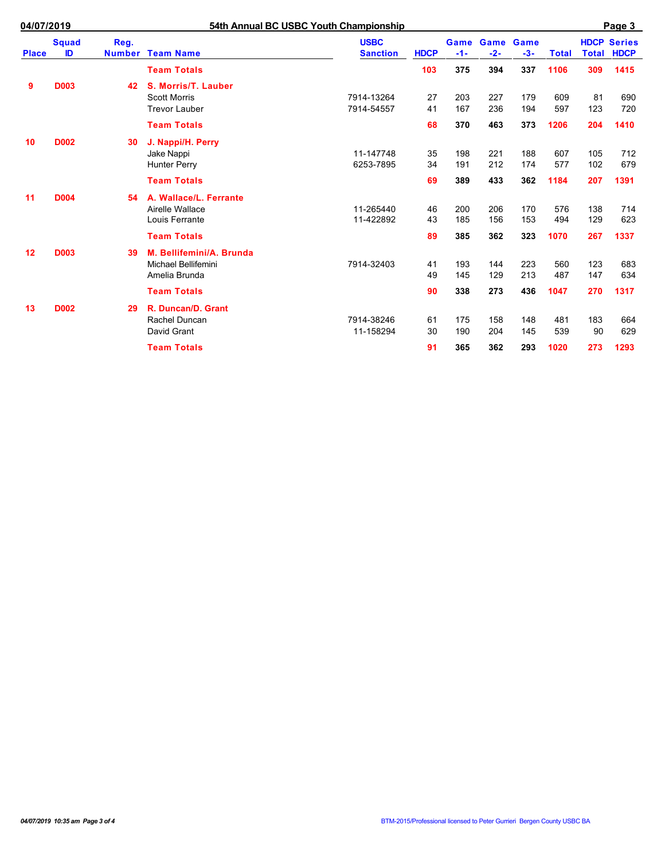| <b>Place</b> | <b>Squad</b><br>ID | Reg.<br><b>Number</b> | <b>Team Name</b>         | <b>USBC</b><br><b>Sanction</b> | <b>HDCP</b> | Game<br>$-1-$ | Game<br>$-2-$ | Game<br>$-3-$ | <b>Total</b> | <b>HDCP</b><br>Total | <b>Series</b><br><b>HDCP</b> |
|--------------|--------------------|-----------------------|--------------------------|--------------------------------|-------------|---------------|---------------|---------------|--------------|----------------------|------------------------------|
|              |                    |                       | <b>Team Totals</b>       |                                | 103         | 375           | 394           | 337           | 1106         | 309                  | 1415                         |
| 9            | <b>D003</b>        | 42                    | S. Morris/T. Lauber      |                                |             |               |               |               |              |                      |                              |
|              |                    |                       | <b>Scott Morris</b>      | 7914-13264                     | 27          | 203           | 227           | 179           | 609          | 81                   | 690                          |
|              |                    |                       | <b>Trevor Lauber</b>     | 7914-54557                     | 41          | 167           | 236           | 194           | 597          | 123                  | 720                          |
|              |                    |                       | <b>Team Totals</b>       |                                | 68          | 370           | 463           | 373           | 1206         | 204                  | 1410                         |
| 10           | <b>D002</b>        | 30                    | J. Nappi/H. Perry        |                                |             |               |               |               |              |                      |                              |
|              |                    |                       | Jake Nappi               | 11-147748                      | 35          | 198           | 221           | 188           | 607          | 105                  | 712                          |
|              |                    |                       | <b>Hunter Perry</b>      | 6253-7895                      | 34          | 191           | 212           | 174           | 577          | 102                  | 679                          |
|              |                    |                       | <b>Team Totals</b>       |                                | 69          | 389           | 433           | 362           | 1184         | 207                  | 1391                         |
| 11           | <b>D004</b>        | 54                    | A. Wallace/L. Ferrante   |                                |             |               |               |               |              |                      |                              |
|              |                    |                       | Airelle Wallace          | 11-265440                      | 46          | 200           | 206           | 170           | 576          | 138                  | 714                          |
|              |                    |                       | Louis Ferrante           | 11-422892                      | 43          | 185           | 156           | 153           | 494          | 129                  | 623                          |
|              |                    |                       | <b>Team Totals</b>       |                                | 89          | 385           | 362           | 323           | 1070         | 267                  | 1337                         |
| 12           | <b>D003</b>        | 39                    | M. Bellifemini/A. Brunda |                                |             |               |               |               |              |                      |                              |
|              |                    |                       | Michael Bellifemini      | 7914-32403                     | 41          | 193           | 144           | 223           | 560          | 123                  | 683                          |
|              |                    |                       | Amelia Brunda            |                                | 49          | 145           | 129           | 213           | 487          | 147                  | 634                          |
|              |                    |                       | <b>Team Totals</b>       |                                | 90          | 338           | 273           | 436           | 1047         | 270                  | 1317                         |
| 13           | <b>D002</b>        | 29                    | R. Duncan/D. Grant       |                                |             |               |               |               |              |                      |                              |
|              |                    |                       | Rachel Duncan            | 7914-38246                     | 61          | 175           | 158           | 148           | 481          | 183                  | 664                          |
|              |                    |                       | David Grant              | 11-158294                      | 30          | 190           | 204           | 145           | 539          | 90                   | 629                          |
|              |                    |                       | <b>Team Totals</b>       |                                | 91          | 365           | 362           | 293           | 1020         | 273                  | 1293                         |